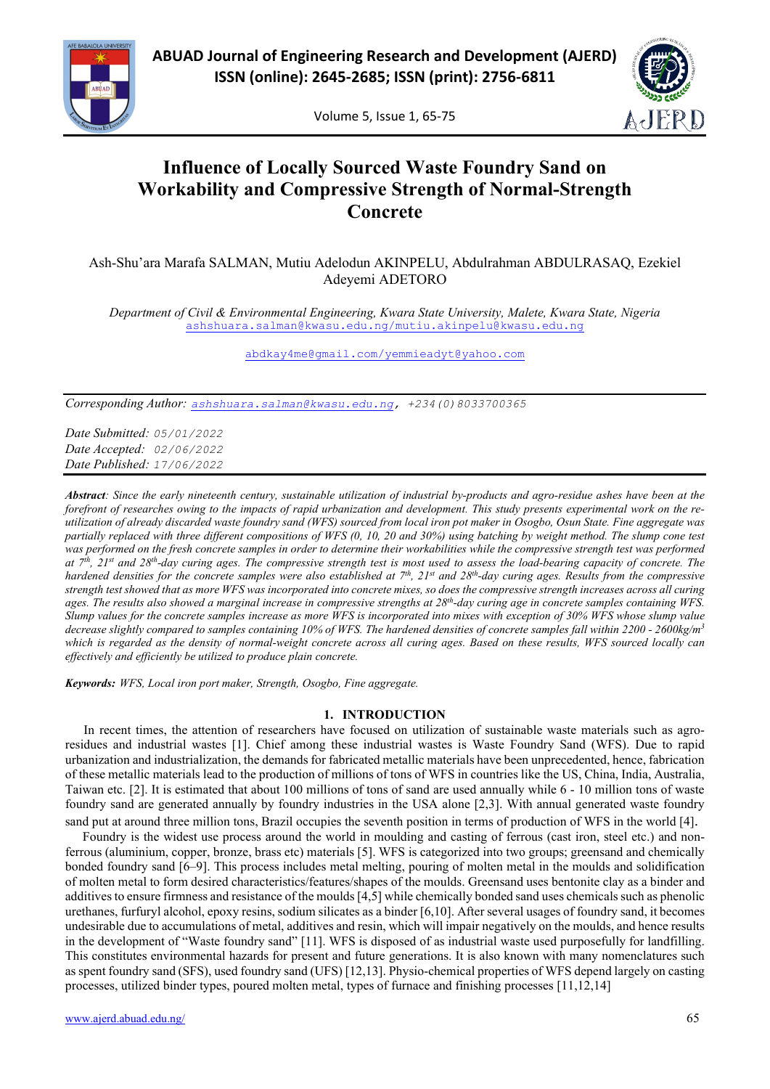

Volume 5, Issue 1, 65-75



### **Influence of Locally Sourced Waste Foundry Sand on Workability and Compressive Strength of Normal-Strength Concrete**

Ash-Shu'ara Marafa SALMAN, Mutiu Adelodun AKINPELU, Abdulrahman ABDULRASAQ, Ezekiel Adeyemi ADETORO

*Department of Civil & Environmental Engineering, Kwara State University, Malete, Kwara State, Nigeria* [ashshuara.salman@kwasu.edu.ng/mutiu.akinpelu@kwasu.edu.ng](mailto:ashshuara.salman@kwasu.edu.ng/mutiu.akinpelu@kwasu.edu.ng)

[abdkay4me@gmail.com/yemmieadyt@yahoo.com](mailto:abdkay4me@gmail.com/yemmieadyt@yahoo.com)

*Corresponding Author: [ashshuara.salman@kwasu.edu.](mailto:ashshuara.salman@kwasu.edu)ng, +234(0)8033700365*

*Date Submitted: 05/01/2022 Date Accepted: 02/06/2022 Date Published: 17/06/2022*

*Abstract: Since the early nineteenth century, sustainable utilization of industrial by-products and agro-residue ashes have been at the forefront of researches owing to the impacts of rapid urbanization and development. This study presents experimental work on the reutilization of already discarded waste foundry sand (WFS) sourced from local iron pot maker in Osogbo, Osun State. Fine aggregate was partially replaced with three different compositions of WFS (0, 10, 20 and 30%) using batching by weight method. The slump cone test was performed on the fresh concrete samples in order to determine their workabilities while the compressive strength test was performed at 7th, 21st and 28th-day curing ages. The compressive strength test is most used to assess the load-bearing capacity of concrete. The hardened densities for the concrete samples were also established at 7<sup>th</sup>, 21<sup>st</sup> and 28<sup>th</sup>-day curing ages. Results from the compressive strength test showed that as more WFS was incorporated into concrete mixes, so does the compressive strength increases across all curing ages. The results also showed a marginal increase in compressive strengths at 28th-day curing age in concrete samples containing WFS. Slump values for the concrete samples increase as more WFS is incorporated into mixes with exception of 30% WFS whose slump value decrease slightly compared to samples containing 10% of WFS. The hardened densities of concrete samples fall within 2200 - 2600kg/m3 which is regarded as the density of normal-weight concrete across all curing ages. Based on these results, WFS sourced locally can effectively and efficiently be utilized to produce plain concrete.*

*Keywords: WFS, Local iron port maker, Strength, Osogbo, Fine aggregate.*

#### **1. INTRODUCTION**

In recent times, the attention of researchers have focused on utilization of sustainable waste materials such as agroresidues and industrial wastes [1]. Chief among these industrial wastes is Waste Foundry Sand (WFS). Due to rapid urbanization and industrialization, the demands for fabricated metallic materials have been unprecedented, hence, fabrication of these metallic materials lead to the production of millions of tons of WFS in countries like the US, China, India, Australia, Taiwan etc. [2]. It is estimated that about 100 millions of tons of sand are used annually while 6 - 10 million tons of waste foundry sand are generated annually by foundry industries in the USA alone [2,3]. With annual generated waste foundry sand put at around three million tons, Brazil occupies the seventh position in terms of production of WFS in the world [4].

Foundry is the widest use process around the world in moulding and casting of ferrous (cast iron, steel etc.) and nonferrous (aluminium, copper, bronze, brass etc) materials [5]. WFS is categorized into two groups; greensand and chemically bonded foundry sand [6–9]. This process includes metal melting, pouring of molten metal in the moulds and solidification of molten metal to form desired characteristics/features/shapes of the moulds. Greensand uses bentonite clay as a binder and additives to ensure firmness and resistance of the moulds [4,5] while chemically bonded sand uses chemicals such as phenolic urethanes, furfuryl alcohol, epoxy resins, sodium silicates as a binder [6,10]. After several usages of foundry sand, it becomes undesirable due to accumulations of metal, additives and resin, which will impair negatively on the moulds, and hence results in the development of "Waste foundry sand" [11]. WFS is disposed of as industrial waste used purposefully for landfilling. This constitutes environmental hazards for present and future generations. It is also known with many nomenclatures such as spent foundry sand (SFS), used foundry sand (UFS) [12,13]. Physio-chemical properties of WFS depend largely on casting processes, utilized binder types, poured molten metal, types of furnace and finishing processes [11,12,14]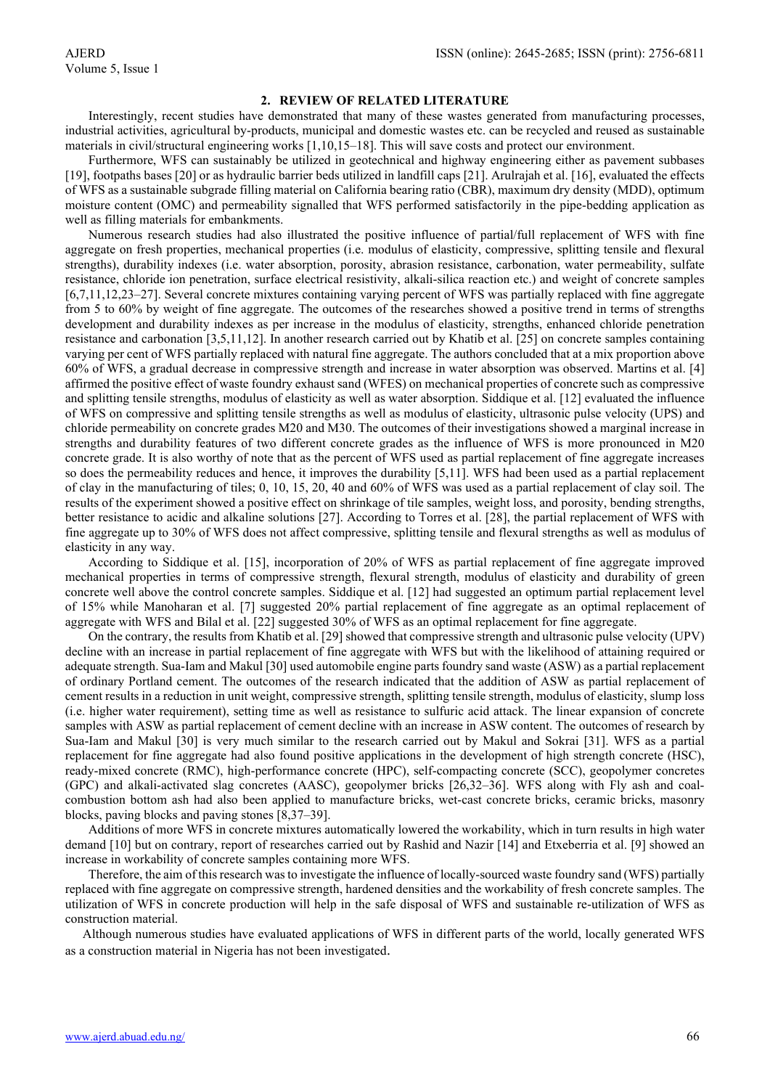#### **2. REVIEW OF RELATED LITERATURE**

Interestingly, recent studies have demonstrated that many of these wastes generated from manufacturing processes, industrial activities, agricultural by-products, municipal and domestic wastes etc. can be recycled and reused as sustainable materials in civil/structural engineering works [1,10,15–18]. This will save costs and protect our environment.

Furthermore, WFS can sustainably be utilized in geotechnical and highway engineering either as pavement subbases [19], footpaths bases [20] or as hydraulic barrier beds utilized in landfill caps [21]. Arulrajah et al. [16], evaluated the effects of WFS as a sustainable subgrade filling material on California bearing ratio (CBR), maximum dry density (MDD), optimum moisture content (OMC) and permeability signalled that WFS performed satisfactorily in the pipe-bedding application as well as filling materials for embankments.

Numerous research studies had also illustrated the positive influence of partial/full replacement of WFS with fine aggregate on fresh properties, mechanical properties (i.e. modulus of elasticity, compressive, splitting tensile and flexural strengths), durability indexes (i.e. water absorption, porosity, abrasion resistance, carbonation, water permeability, sulfate resistance, chloride ion penetration, surface electrical resistivity, alkali-silica reaction etc.) and weight of concrete samples [6,7,11,12,23–27]. Several concrete mixtures containing varying percent of WFS was partially replaced with fine aggregate from 5 to 60% by weight of fine aggregate. The outcomes of the researches showed a positive trend in terms of strengths development and durability indexes as per increase in the modulus of elasticity, strengths, enhanced chloride penetration resistance and carbonation [3,5,11,12]. In another research carried out by Khatib et al. [25] on concrete samples containing varying per cent of WFS partially replaced with natural fine aggregate. The authors concluded that at a mix proportion above 60% of WFS, a gradual decrease in compressive strength and increase in water absorption was observed. Martins et al. [4] affirmed the positive effect of waste foundry exhaust sand (WFES) on mechanical properties of concrete such as compressive and splitting tensile strengths, modulus of elasticity as well as water absorption. Siddique et al. [12] evaluated the influence of WFS on compressive and splitting tensile strengths as well as modulus of elasticity, ultrasonic pulse velocity (UPS) and chloride permeability on concrete grades M20 and M30. The outcomes of their investigations showed a marginal increase in strengths and durability features of two different concrete grades as the influence of WFS is more pronounced in M20 concrete grade. It is also worthy of note that as the percent of WFS used as partial replacement of fine aggregate increases so does the permeability reduces and hence, it improves the durability [5,11]. WFS had been used as a partial replacement of clay in the manufacturing of tiles; 0, 10, 15, 20, 40 and 60% of WFS was used as a partial replacement of clay soil. The results of the experiment showed a positive effect on shrinkage of tile samples, weight loss, and porosity, bending strengths, better resistance to acidic and alkaline solutions [27]. According to Torres et al. [28], the partial replacement of WFS with fine aggregate up to 30% of WFS does not affect compressive, splitting tensile and flexural strengths as well as modulus of elasticity in any way.

According to Siddique et al. [15], incorporation of 20% of WFS as partial replacement of fine aggregate improved mechanical properties in terms of compressive strength, flexural strength, modulus of elasticity and durability of green concrete well above the control concrete samples. Siddique et al. [12] had suggested an optimum partial replacement level of 15% while Manoharan et al. [7] suggested 20% partial replacement of fine aggregate as an optimal replacement of aggregate with WFS and Bilal et al. [22] suggested 30% of WFS as an optimal replacement for fine aggregate.

On the contrary, the results from Khatib et al. [29] showed that compressive strength and ultrasonic pulse velocity (UPV) decline with an increase in partial replacement of fine aggregate with WFS but with the likelihood of attaining required or adequate strength. Sua-Iam and Makul [30] used automobile engine parts foundry sand waste (ASW) as a partial replacement of ordinary Portland cement. The outcomes of the research indicated that the addition of ASW as partial replacement of cement results in a reduction in unit weight, compressive strength, splitting tensile strength, modulus of elasticity, slump loss (i.e. higher water requirement), setting time as well as resistance to sulfuric acid attack. The linear expansion of concrete samples with ASW as partial replacement of cement decline with an increase in ASW content. The outcomes of research by Sua-Iam and Makul [30] is very much similar to the research carried out by Makul and Sokrai [31]. WFS as a partial replacement for fine aggregate had also found positive applications in the development of high strength concrete (HSC), ready-mixed concrete (RMC), high-performance concrete (HPC), self-compacting concrete (SCC), geopolymer concretes (GPC) and alkali-activated slag concretes (AASC), geopolymer bricks [26,32–36]. WFS along with Fly ash and coalcombustion bottom ash had also been applied to manufacture bricks, wet-cast concrete bricks, ceramic bricks, masonry blocks, paving blocks and paving stones [8,37–39].

Additions of more WFS in concrete mixtures automatically lowered the workability, which in turn results in high water demand [10] but on contrary, report of researches carried out by Rashid and Nazir [14] and Etxeberria et al. [9] showed an increase in workability of concrete samples containing more WFS.

Therefore, the aim of this research was to investigate the influence of locally-sourced waste foundry sand (WFS) partially replaced with fine aggregate on compressive strength, hardened densities and the workability of fresh concrete samples. The utilization of WFS in concrete production will help in the safe disposal of WFS and sustainable re-utilization of WFS as construction material.

Although numerous studies have evaluated applications of WFS in different parts of the world, locally generated WFS as a construction material in Nigeria has not been investigated.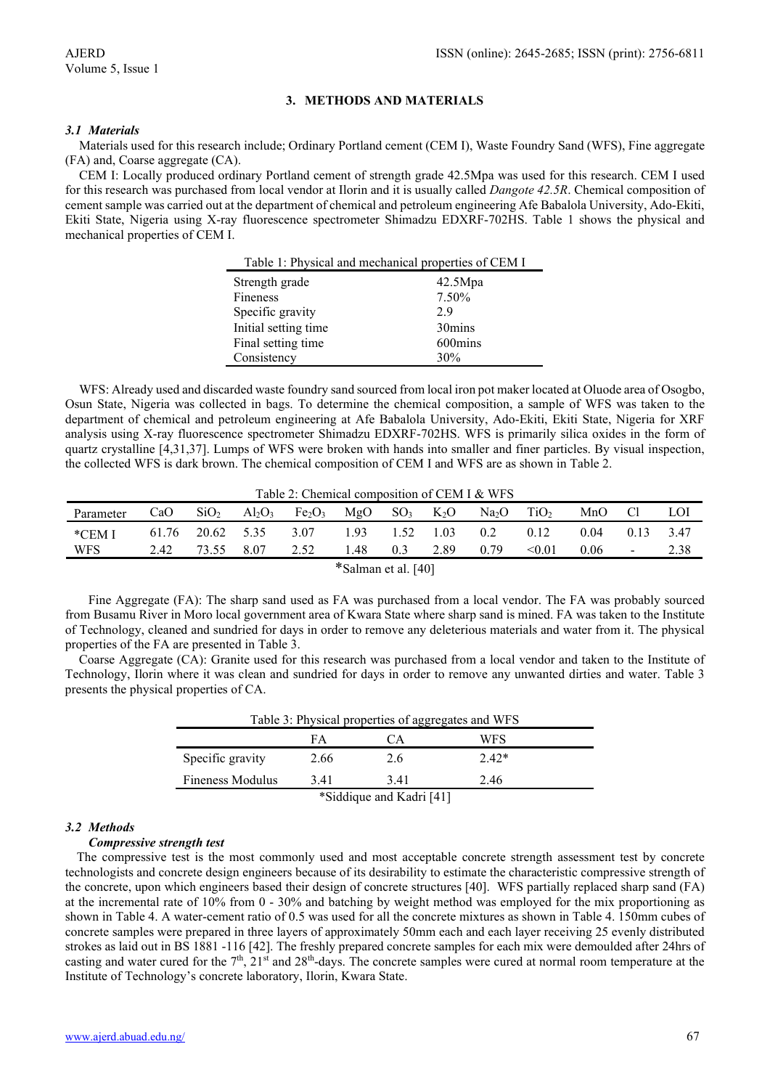#### **3. METHODS AND MATERIALS**

#### *3.1 Materials*

Materials used for this research include; Ordinary Portland cement (CEM I), Waste Foundry Sand (WFS), Fine aggregate (FA) and, Coarse aggregate (CA).

CEM I: Locally produced ordinary Portland cement of strength grade 42.5Mpa was used for this research. CEM I used for this research was purchased from local vendor at Ilorin and it is usually called *Dangote 42.5R*. Chemical composition of cement sample was carried out at the department of chemical and petroleum engineering Afe Babalola University, Ado-Ekiti, Ekiti State, Nigeria using X-ray fluorescence spectrometer Shimadzu EDXRF-702HS. Table 1 shows the physical and mechanical properties of CEM I.

| Table 1: Physical and mechanical properties of CEM I |         |  |  |  |
|------------------------------------------------------|---------|--|--|--|
| Strength grade                                       | 42.5Mpa |  |  |  |
| Fineness                                             | 7.50%   |  |  |  |
| Specific gravity                                     | 2.9     |  |  |  |
| Initial setting time                                 | 30mins  |  |  |  |
| Final setting time                                   | 600mins |  |  |  |
| Consistency                                          | 30%     |  |  |  |

WFS: Already used and discarded waste foundry sand sourced from local iron pot maker located at Oluode area of Osogbo, Osun State, Nigeria was collected in bags. To determine the chemical composition, a sample of WFS was taken to the department of chemical and petroleum engineering at Afe Babalola University, Ado-Ekiti, Ekiti State, Nigeria for XRF analysis using X-ray fluorescence spectrometer Shimadzu EDXRF-702HS. WFS is primarily silica oxides in the form of quartz crystalline [4,31,37]. Lumps of WFS were broken with hands into smaller and finer particles. By visual inspection, the collected WFS is dark brown. The chemical composition of CEM I and WFS are as shown in Table 2.

Table 2: Chemical composition of CEM I & WFS

| Parameter | CaO  | SiO <sub>2</sub> | $Al_2O_3$       | Fe <sub>2</sub> O <sub>3</sub>                                  |               | $MgO$ SO <sub>3</sub> K <sub>2</sub> O |      | $Na2O$ $TiO2$ |        | MnO  | Cl            | LOI  |
|-----------|------|------------------|-----------------|-----------------------------------------------------------------|---------------|----------------------------------------|------|---------------|--------|------|---------------|------|
| *CEM I    |      |                  |                 | $61.76$ $20.62$ $5.35$ $3.07$ $1.93$ $1.52$ $1.03$ $0.2$ $0.12$ |               |                                        |      |               |        | 0.04 | $0.13$ $3.47$ |      |
| WFS       | 2.42 |                  | 73.55 8.07 2.52 |                                                                 | $1.48 \t 0.3$ |                                        | 2.89 | 0.79          | < 0.01 | 0.06 | $\sim$        | 2.38 |
|           |      |                  |                 |                                                                 | was a common  |                                        |      |               |        |      |               |      |

\*Salman et al. [40]

Fine Aggregate (FA): The sharp sand used as FA was purchased from a local vendor. The FA was probably sourced from Busamu River in Moro local government area of Kwara State where sharp sand is mined. FA was taken to the Institute of Technology, cleaned and sundried for days in order to remove any deleterious materials and water from it. The physical properties of the FA are presented in Table 3.

Coarse Aggregate (CA): Granite used for this research was purchased from a local vendor and taken to the Institute of Technology, Ilorin where it was clean and sundried for days in order to remove any unwanted dirties and water. Table 3 presents the physical properties of CA.

| Table 3: Physical properties of aggregates and WFS |      |      |         |  |  |  |
|----------------------------------------------------|------|------|---------|--|--|--|
| WFS<br>FA<br>СA                                    |      |      |         |  |  |  |
| Specific gravity                                   | 2.66 | 2.6  | $2.42*$ |  |  |  |
| Fineness Modulus                                   | 3.41 | 3.41 | 2.46    |  |  |  |
| *Siddique and Kadri [41]                           |      |      |         |  |  |  |

#### *3.2 Methods*

#### *Compressive strength test*

The compressive test is the most commonly used and most acceptable concrete strength assessment test by concrete technologists and concrete design engineers because of its desirability to estimate the characteristic compressive strength of the concrete, upon which engineers based their design of concrete structures [40]. WFS partially replaced sharp sand (FA) at the incremental rate of 10% from 0 - 30% and batching by weight method was employed for the mix proportioning as shown in Table 4. A water-cement ratio of 0.5 was used for all the concrete mixtures as shown in Table 4. 150mm cubes of concrete samples were prepared in three layers of approximately 50mm each and each layer receiving 25 evenly distributed strokes as laid out in BS 1881 -116 [42]. The freshly prepared concrete samples for each mix were demoulded after 24hrs of casting and water cured for the  $7<sup>th</sup>$ ,  $21<sup>st</sup>$  and  $28<sup>th</sup>$ -days. The concrete samples were cured at normal room temperature at the Institute of Technology's concrete laboratory, Ilorin, Kwara State.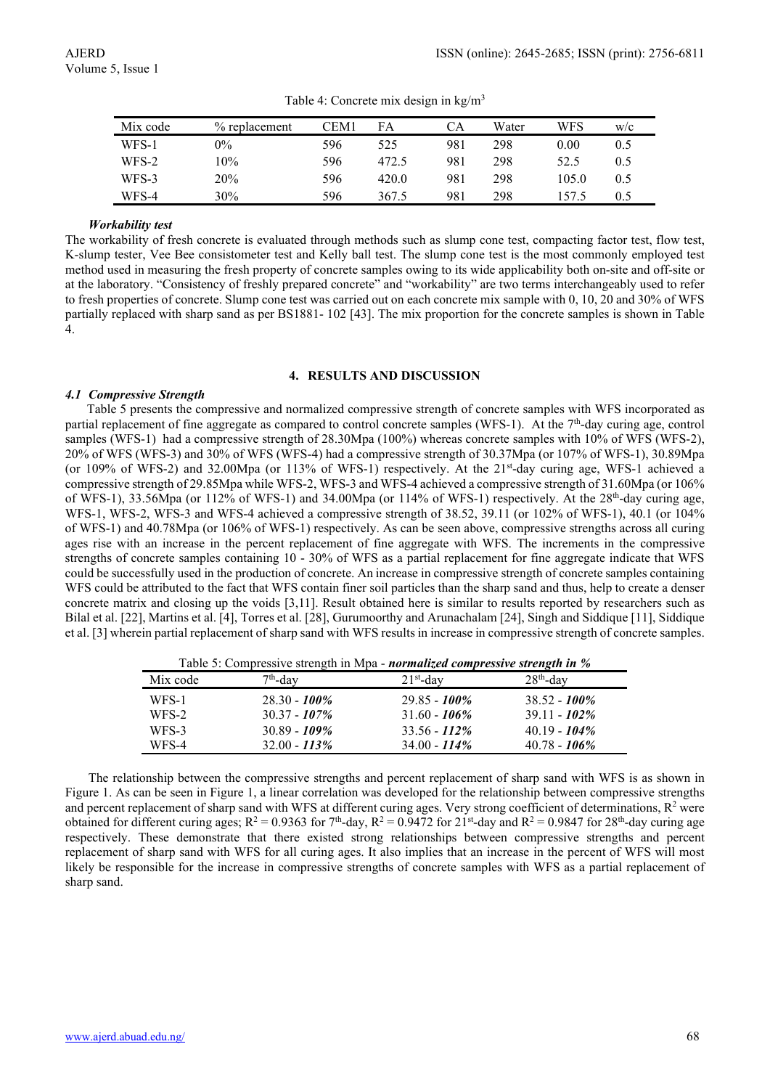| Mix code | % replacement | CEM1 | FA    | CА  | Water | WFS   | W/c |
|----------|---------------|------|-------|-----|-------|-------|-----|
| WFS-1    | $0\%$         | 596  | 525   | 981 | 298   | 0.00  | 0.5 |
| WFS-2    | 10%           | 596  | 472.5 | 981 | 298   | 52.5  | 0.5 |
| WFS-3    | 20%           | 596  | 420.0 | 981 | 298   | 105.0 | 0.5 |
| WFS-4    | 30%           | 596  | 367.5 | 981 | 298   | 157.5 | 0.5 |

Table 4: Concrete mix design in  $\text{kg/m}^3$ 

#### *Workability test*

The workability of fresh concrete is evaluated through methods such as slump cone test, compacting factor test, flow test, K-slump tester, Vee Bee consistometer test and Kelly ball test. The slump cone test is the most commonly employed test method used in measuring the fresh property of concrete samples owing to its wide applicability both on-site and off-site or at the laboratory. "Consistency of freshly prepared concrete" and "workability" are two terms interchangeably used to refer to fresh properties of concrete. Slump cone test was carried out on each concrete mix sample with 0, 10, 20 and 30% of WFS partially replaced with sharp sand as per BS1881- 102 [43]. The mix proportion for the concrete samples is shown in Table 4.

#### **4. RESULTS AND DISCUSSION**

#### *4.1 Compressive Strength*

Table 5 presents the compressive and normalized compressive strength of concrete samples with WFS incorporated as partial replacement of fine aggregate as compared to control concrete samples (WFS-1). At the 7th-day curing age, control samples (WFS-1) had a compressive strength of 28.30Mpa (100%) whereas concrete samples with 10% of WFS (WFS-2), 20% of WFS (WFS-3) and 30% of WFS (WFS-4) had a compressive strength of 30.37Mpa (or 107% of WFS-1), 30.89Mpa (or 109% of WFS-2) and 32.00Mpa (or 113% of WFS-1) respectively. At the 21<sup>st</sup>-day curing age, WFS-1 achieved a compressive strength of 29.85Mpa while WFS-2, WFS-3 and WFS-4 achieved a compressive strength of 31.60Mpa (or 106% of WFS-1), 33.56Mpa (or 112% of WFS-1) and 34.00Mpa (or 114% of WFS-1) respectively. At the 28th-day curing age, WFS-1, WFS-2, WFS-3 and WFS-4 achieved a compressive strength of 38.52, 39.11 (or 102% of WFS-1), 40.1 (or 104% of WFS-1) and 40.78Mpa (or 106% of WFS-1) respectively. As can be seen above, compressive strengths across all curing ages rise with an increase in the percent replacement of fine aggregate with WFS. The increments in the compressive strengths of concrete samples containing 10 - 30% of WFS as a partial replacement for fine aggregate indicate that WFS could be successfully used in the production of concrete. An increase in compressive strength of concrete samples containing WFS could be attributed to the fact that WFS contain finer soil particles than the sharp sand and thus, help to create a denser concrete matrix and closing up the voids [3,11]. Result obtained here is similar to results reported by researchers such as Bilal et al. [22], Martins et al. [4], Torres et al. [28], Gurumoorthy and Arunachalam [24], Singh and Siddique [11], Siddique et al. [3] wherein partial replacement of sharp sand with WFS results in increase in compressive strength of concrete samples.

Mix code  $7<sup>th</sup>$ -day  $21<sup>st</sup>$ -day  $28<sup>th</sup>$ -day  $28<sup>th</sup>$ -day WFS-1 28.30 - *100%* 29.85 - *100%* 38.52 - *100%* WFS-2 30.37 - *107%* 31.60 - *106%* 39.11 - *102%* WFS-3 30.89 - *109%* 33.56 - *112%* 40.19 - *104%* WFS-4 32.00 - *113%* 34.00 - *114%* 40.78 - *106%*

Table 5: Compressive strength in Mpa - *normalized compressive strength in %*

The relationship between the compressive strengths and percent replacement of sharp sand with WFS is as shown in Figure 1. As can be seen in Figure 1, a linear correlation was developed for the relationship between compressive strengths and percent replacement of sharp sand with WFS at different curing ages. Very strong coefficient of determinations,  $R^2$  were obtained for different curing ages;  $R^2 = 0.9363$  for  $7<sup>th</sup>$ -day,  $R^2 = 0.9472$  for  $21<sup>st</sup>$ -day and  $R^2 = 0.9847$  for  $28<sup>th</sup>$ -day curing age respectively. These demonstrate that there existed strong relationships between compressive strengths and percent replacement of sharp sand with WFS for all curing ages. It also implies that an increase in the percent of WFS will most likely be responsible for the increase in compressive strengths of concrete samples with WFS as a partial replacement of sharp sand.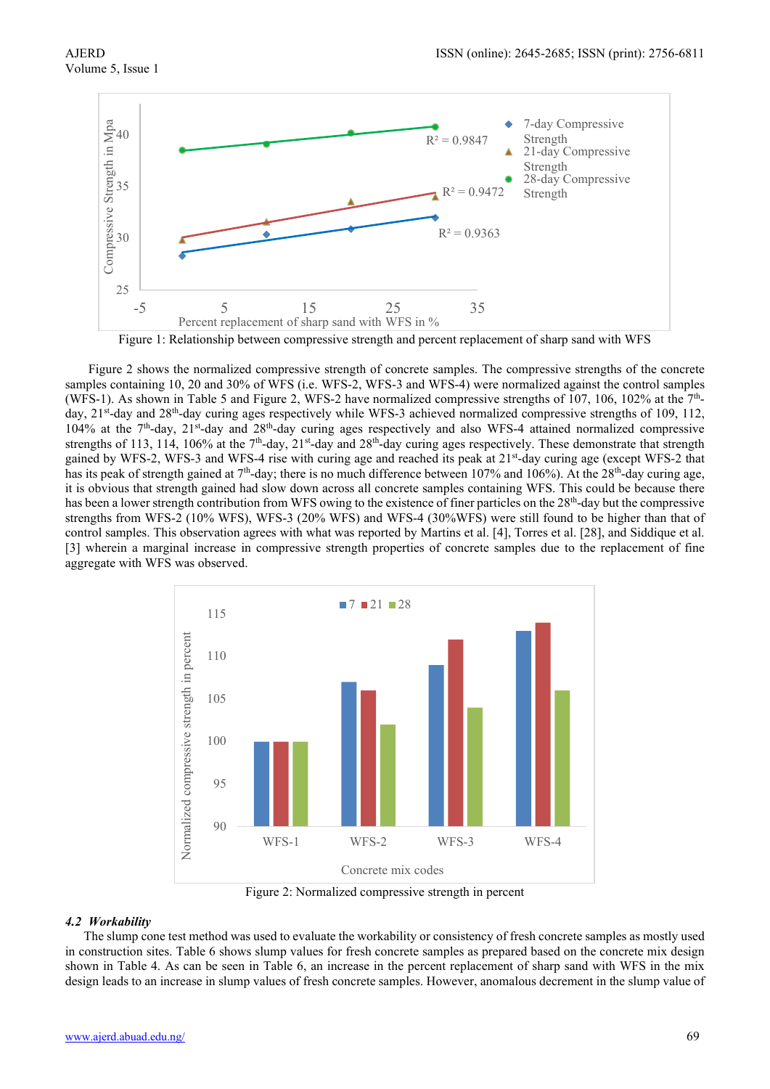

Figure 1: Relationship between compressive strength and percent replacement of sharp sand with WFS

Figure 2 shows the normalized compressive strength of concrete samples. The compressive strengths of the concrete samples containing 10, 20 and 30% of WFS (i.e. WFS-2, WFS-3 and WFS-4) were normalized against the control samples (WFS-1). As shown in Table 5 and Figure 2, WFS-2 have normalized compressive strengths of 107, 106, 102% at the 7thday, 21<sup>st</sup>-day and 28<sup>th</sup>-day curing ages respectively while WFS-3 achieved normalized compressive strengths of 109, 112, 104% at the 7th-day, 21st-day and 28th-day curing ages respectively and also WFS-4 attained normalized compressive strengths of 113, 114, 106% at the 7<sup>th</sup>-day, 21<sup>st</sup>-day and 28<sup>th</sup>-day curing ages respectively. These demonstrate that strength gained by WFS-2, WFS-3 and WFS-4 rise with curing age and reached its peak at 21<sup>st</sup>-day curing age (except WFS-2 that has its peak of strength gained at 7<sup>th</sup>-day; there is no much difference between 107% and 106%). At the 28<sup>th</sup>-day curing age, it is obvious that strength gained had slow down across all concrete samples containing WFS. This could be because there has been a lower strength contribution from WFS owing to the existence of finer particles on the 28<sup>th</sup>-day but the compressive strengths from WFS-2 (10% WFS), WFS-3 (20% WFS) and WFS-4 (30%WFS) were still found to be higher than that of control samples. This observation agrees with what was reported by Martins et al. [4], Torres et al. [28], and Siddique et al. [3] wherein a marginal increase in compressive strength properties of concrete samples due to the replacement of fine aggregate with WFS was observed.



#### *4.2 Workability*

The slump cone test method was used to evaluate the workability or consistency of fresh concrete samples as mostly used in construction sites. Table 6 shows slump values for fresh concrete samples as prepared based on the concrete mix design shown in Table 4. As can be seen in Table 6, an increase in the percent replacement of sharp sand with WFS in the mix design leads to an increase in slump values of fresh concrete samples. However, anomalous decrement in the slump value of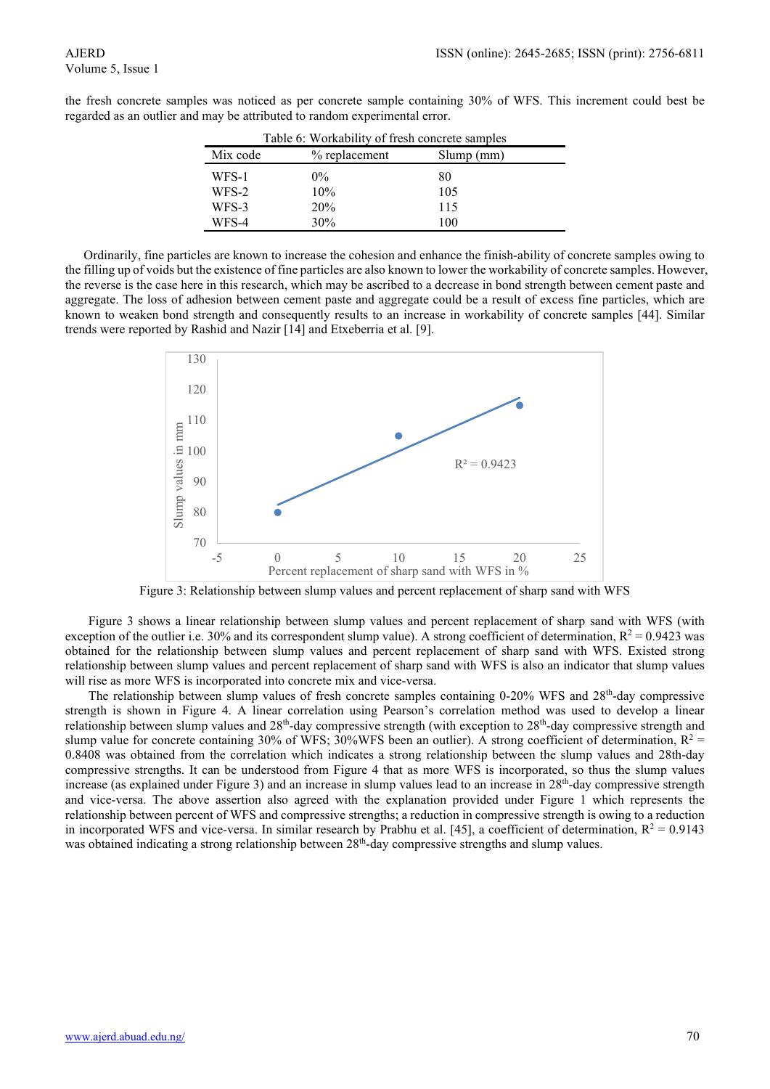| Table 6: Workability of fresh concrete samples |                 |           |  |  |
|------------------------------------------------|-----------------|-----------|--|--|
| Mix code                                       | $%$ replacement | Slump(mm) |  |  |
| WFS-1                                          | $0\%$           | 80        |  |  |
| WFS-2                                          | 10%             | 105       |  |  |
| WFS-3                                          | <b>20%</b>      | 115       |  |  |
| WFS-4                                          | 30%             | 100       |  |  |

the fresh concrete samples was noticed as per concrete sample containing 30% of WFS. This increment could best be regarded as an outlier and may be attributed to random experimental error.

Ordinarily, fine particles are known to increase the cohesion and enhance the finish-ability of concrete samples owing to the filling up of voids but the existence of fine particles are also known to lower the workability of concrete samples. However, the reverse is the case here in this research, which may be ascribed to a decrease in bond strength between cement paste and aggregate. The loss of adhesion between cement paste and aggregate could be a result of excess fine particles, which are known to weaken bond strength and consequently results to an increase in workability of concrete samples [44]. Similar trends were reported by Rashid and Nazir [14] and Etxeberria et al. [9].



Figure 3: Relationship between slump values and percent replacement of sharp sand with WFS

Figure 3 shows a linear relationship between slump values and percent replacement of sharp sand with WFS (with exception of the outlier i.e. 30% and its correspondent slump value). A strong coefficient of determination,  $R^2 = 0.9423$  was obtained for the relationship between slump values and percent replacement of sharp sand with WFS. Existed strong relationship between slump values and percent replacement of sharp sand with WFS is also an indicator that slump values will rise as more WFS is incorporated into concrete mix and vice-versa.

The relationship between slump values of fresh concrete samples containing 0-20% WFS and 28<sup>th</sup>-day compressive strength is shown in Figure 4. A linear correlation using Pearson's correlation method was used to develop a linear relationship between slump values and  $28<sup>th</sup>$ -day compressive strength (with exception to  $28<sup>th</sup>$ -day compressive strength and slump value for concrete containing 30% of WFS; 30%WFS been an outlier). A strong coefficient of determination,  $R^2$  = 0.8408 was obtained from the correlation which indicates a strong relationship between the slump values and 28th-day compressive strengths. It can be understood from Figure 4 that as more WFS is incorporated, so thus the slump values increase (as explained under Figure 3) and an increase in slump values lead to an increase in 28<sup>th</sup>-day compressive strength and vice-versa. The above assertion also agreed with the explanation provided under Figure 1 which represents the relationship between percent of WFS and compressive strengths; a reduction in compressive strength is owing to a reduction in incorporated WFS and vice-versa. In similar research by Prabhu et al. [45], a coefficient of determination,  $R^2 = 0.9143$ was obtained indicating a strong relationship between 28<sup>th</sup>-day compressive strengths and slump values.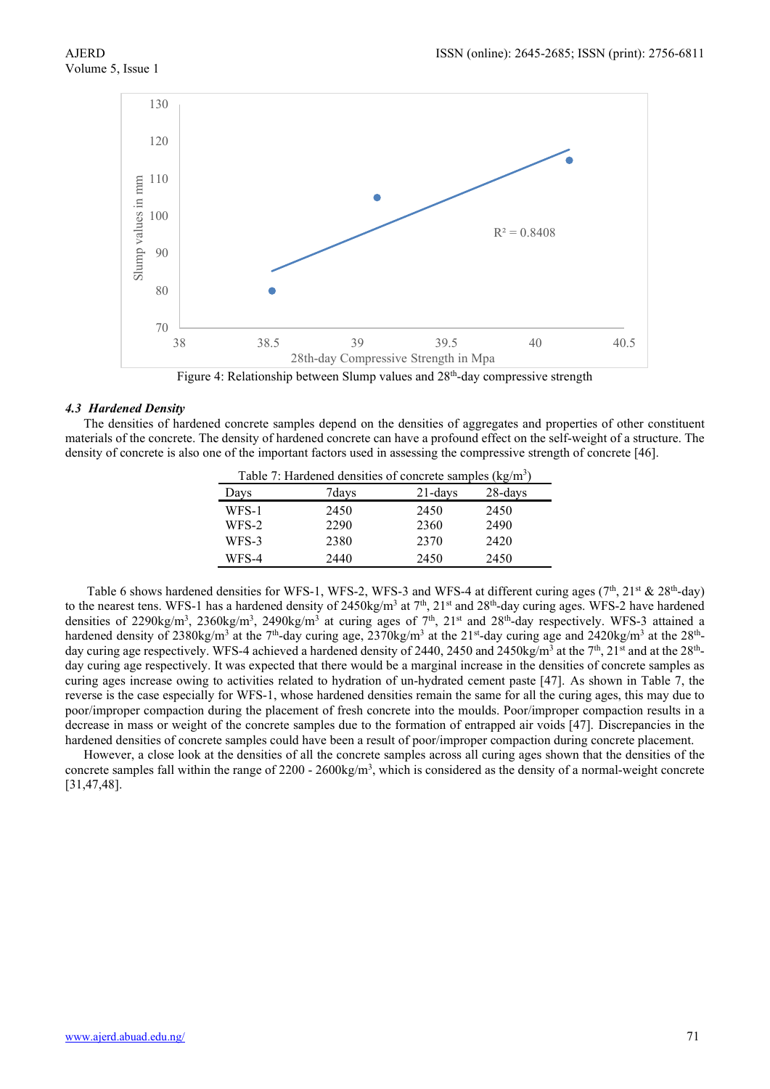

Figure 4: Relationship between Slump values and 28<sup>th</sup>-day compressive strength

#### *4.3 Hardened Density*

The densities of hardened concrete samples depend on the densities of aggregates and properties of other constituent materials of the concrete. The density of hardened concrete can have a profound effect on the self-weight of a structure. The density of concrete is also one of the important factors used in assessing the compressive strength of concrete [46].

| Table 7: Hardened densities of concrete samples $(kg/m3)$ |       |            |            |  |
|-----------------------------------------------------------|-------|------------|------------|--|
| Days                                                      | 7days | $21$ -days | $28$ -days |  |
| WFS-1                                                     | 2450  | 2450       | 2450       |  |
| WFS-2                                                     | 2290  | 2360       | 2490       |  |
| WFS-3                                                     | 2380  | 2370       | 2420       |  |
| WFS-4                                                     | 2440  | 2450       | 2450       |  |

Table 6 shows hardened densities for WFS-1, WFS-2, WFS-3 and WFS-4 at different curing ages (7<sup>th</sup>, 21<sup>st</sup> & 28<sup>th</sup>-day) to the nearest tens. WFS-1 has a hardened density of 2450kg/m<sup>3</sup> at  $7<sup>th</sup>$ , 21<sup>st</sup> and 28<sup>th</sup>-day curing ages. WFS-2 have hardened densities of 2290kg/m<sup>3</sup>, 2360kg/m<sup>3</sup>, 2490kg/m<sup>3</sup> at curing ages of 7<sup>th</sup>, 21<sup>st</sup> and 28<sup>th</sup>-day respectively. WFS-3 attained a hardened density of 2380kg/m<sup>3</sup> at the 7<sup>th</sup>-day curing age,  $2370$ kg/m<sup>3</sup> at the 21<sup>st</sup>-day curing age and 2420kg/m<sup>3</sup> at the 28<sup>th</sup>day curing age respectively. WFS-4 achieved a hardened density of 2440, 2450 and 2450kg/m<sup>3</sup> at the 7<sup>th</sup>, 21<sup>st</sup> and at the 28<sup>th</sup>day curing age respectively. It was expected that there would be a marginal increase in the densities of concrete samples as curing ages increase owing to activities related to hydration of un-hydrated cement paste [47]. As shown in Table 7, the reverse is the case especially for WFS-1, whose hardened densities remain the same for all the curing ages, this may due to poor/improper compaction during the placement of fresh concrete into the moulds. Poor/improper compaction results in a decrease in mass or weight of the concrete samples due to the formation of entrapped air voids [47]. Discrepancies in the hardened densities of concrete samples could have been a result of poor/improper compaction during concrete placement.

However, a close look at the densities of all the concrete samples across all curing ages shown that the densities of the concrete samples fall within the range of 2200 - 2600kg/m<sup>3</sup>, which is considered as the density of a normal-weight concrete [31,47,48].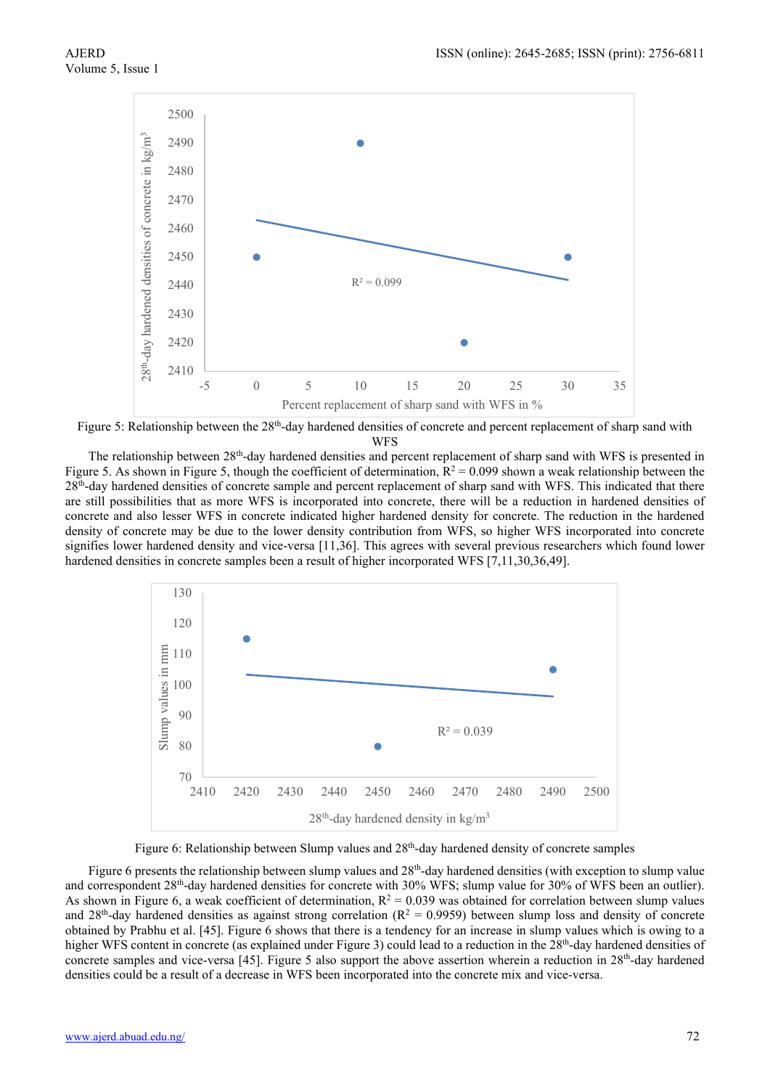

Figure 5: Relationship between the 28<sup>th</sup>-day hardened densities of concrete and percent replacement of sharp sand with WFS

The relationship between 28th-day hardened densities and percent replacement of sharp sand with WFS is presented in Figure 5. As shown in Figure 5, though the coefficient of determination,  $R^2 = 0.099$  shown a weak relationship between the 28th-day hardened densities of concrete sample and percent replacement of sharp sand with WFS. This indicated that there are still possibilities that as more WFS is incorporated into concrete, there will be a reduction in hardened densities of concrete and also lesser WFS in concrete indicated higher hardened density for concrete. The reduction in the hardened density of concrete may be due to the lower density contribution from WFS, so higher WFS incorporated into concrete signifies lower hardened density and vice-versa [11,36]. This agrees with several previous researchers which found lower hardened densities in concrete samples been a result of higher incorporated WFS [7,11,30,36,49].



Figure 6: Relationship between Slump values and 28<sup>th</sup>-day hardened density of concrete samples

Figure 6 presents the relationship between slump values and  $28<sup>th</sup>$ -day hardened densities (with exception to slump value and correspondent 28th-day hardened densities for concrete with 30% WFS; slump value for 30% of WFS been an outlier). As shown in Figure 6, a weak coefficient of determination,  $R^2 = 0.039$  was obtained for correlation between slump values and 28<sup>th</sup>-day hardened densities as against strong correlation  $(R^2 = 0.9959)$  between slump loss and density of concrete obtained by Prabhu et al. [45]. Figure 6 shows that there is a tendency for an increase in slump values which is owing to a higher WFS content in concrete (as explained under Figure 3) could lead to a reduction in the 28<sup>th</sup>-day hardened densities of concrete samples and vice-versa [45]. Figure 5 also support the above assertion wherein a reduction in 28<sup>th</sup>-day hardened densities could be a result of a decrease in WFS been incorporated into the concrete mix and vice-versa.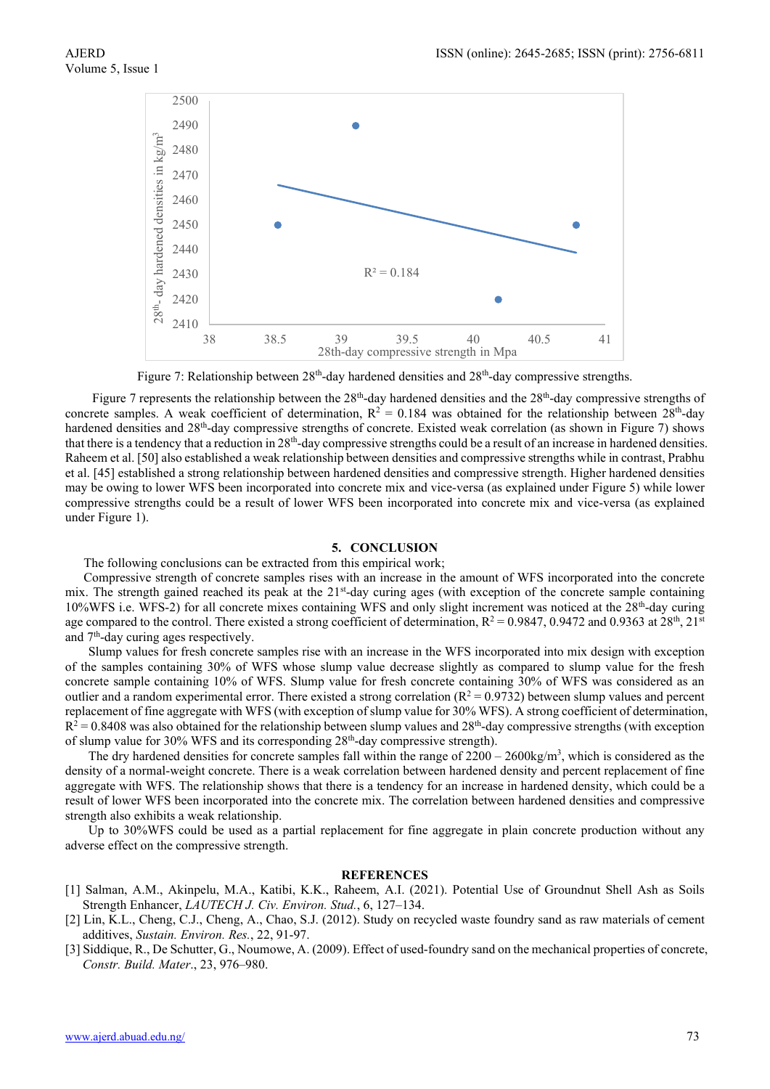

Figure 7: Relationship between  $28<sup>th</sup>$ -day hardened densities and  $28<sup>th</sup>$ -day compressive strengths.

Figure 7 represents the relationship between the 28<sup>th</sup>-day hardened densities and the 28<sup>th</sup>-day compressive strengths of concrete samples. A weak coefficient of determination,  $R^2 = 0.184$  was obtained for the relationship between  $28<sup>th</sup>$ -day hardened densities and 28th-day compressive strengths of concrete. Existed weak correlation (as shown in Figure 7) shows that there is a tendency that a reduction in  $28<sup>th</sup>$ -day compressive strengths could be a result of an increase in hardened densities. Raheem et al. [50] also established a weak relationship between densities and compressive strengths while in contrast, Prabhu et al. [45] established a strong relationship between hardened densities and compressive strength. Higher hardened densities may be owing to lower WFS been incorporated into concrete mix and vice-versa (as explained under Figure 5) while lower compressive strengths could be a result of lower WFS been incorporated into concrete mix and vice-versa (as explained under Figure 1).

#### **5. CONCLUSION**

#### The following conclusions can be extracted from this empirical work;

Compressive strength of concrete samples rises with an increase in the amount of WFS incorporated into the concrete mix. The strength gained reached its peak at the 21<sup>st</sup>-day curing ages (with exception of the concrete sample containing 10%WFS i.e. WFS-2) for all concrete mixes containing WFS and only slight increment was noticed at the 28th-day curing age compared to the control. There existed a strong coefficient of determination,  $R^2 = 0.9847$ , 0.9472 and 0.9363 at 28<sup>th</sup>, 21<sup>st</sup> and 7th-day curing ages respectively.

Slump values for fresh concrete samples rise with an increase in the WFS incorporated into mix design with exception of the samples containing 30% of WFS whose slump value decrease slightly as compared to slump value for the fresh concrete sample containing 10% of WFS. Slump value for fresh concrete containing 30% of WFS was considered as an outlier and a random experimental error. There existed a strong correlation  $(R^2 = 0.9732)$  between slump values and percent replacement of fine aggregate with WFS (with exception of slump value for 30% WFS). A strong coefficient of determination,  $R^2 = 0.8408$  was also obtained for the relationship between slump values and  $28<sup>th</sup>$ -day compressive strengths (with exception of slump value for 30% WFS and its corresponding 28<sup>th</sup>-day compressive strength).

The dry hardened densities for concrete samples fall within the range of  $2200 - 2600$ kg/m<sup>3</sup>, which is considered as the density of a normal-weight concrete. There is a weak correlation between hardened density and percent replacement of fine aggregate with WFS. The relationship shows that there is a tendency for an increase in hardened density, which could be a result of lower WFS been incorporated into the concrete mix. The correlation between hardened densities and compressive strength also exhibits a weak relationship.

Up to 30%WFS could be used as a partial replacement for fine aggregate in plain concrete production without any adverse effect on the compressive strength.

#### **REFERENCES**

- [1] Salman, A.M., Akinpelu, M.A., Katibi, K.K., Raheem, A.I. (2021). Potential Use of Groundnut Shell Ash as Soils Strength Enhancer, *LAUTECH J. Civ. Environ. Stud.*, 6, 127–134.
- [2] Lin, K.L., Cheng, C.J., Cheng, A., Chao, S.J. (2012). Study on recycled waste foundry sand as raw materials of cement additives, *Sustain. Environ. Res.*, 22, 91-97.
- [3] Siddique, R., De Schutter, G., Noumowe, A. (2009). Effect of used-foundry sand on the mechanical properties of concrete, *Constr. Build. Mater*., 23, 976–980.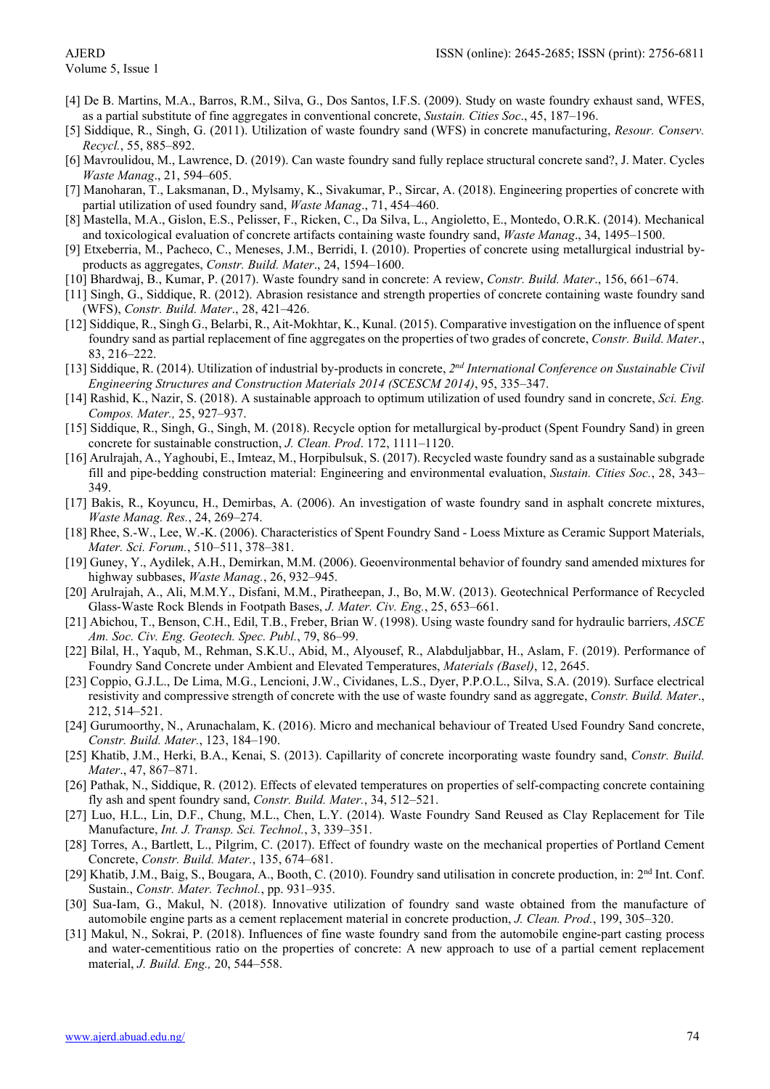## Volume 5, Issue 1

- [4] De B. Martins, M.A., Barros, R.M., Silva, G., Dos Santos, I.F.S. (2009). Study on waste foundry exhaust sand, WFES, as a partial substitute of fine aggregates in conventional concrete, *Sustain. Cities Soc*., 45, 187–196.
- [5] Siddique, R., Singh, G. (2011). Utilization of waste foundry sand (WFS) in concrete manufacturing, *Resour. Conserv. Recycl.*, 55, 885–892.
- [6] Mavroulidou, M., Lawrence, D. (2019). Can waste foundry sand fully replace structural concrete sand?, J. Mater. Cycles *Waste Manag*., 21, 594–605.
- [7] Manoharan, T., Laksmanan, D., Mylsamy, K., Sivakumar, P., Sircar, A. (2018). Engineering properties of concrete with partial utilization of used foundry sand, *Waste Manag*., 71, 454–460.
- [8] Mastella, M.A., Gislon, E.S., Pelisser, F., Ricken, C., Da Silva, L., Angioletto, E., Montedo, O.R.K. (2014). Mechanical and toxicological evaluation of concrete artifacts containing waste foundry sand, *Waste Manag*., 34, 1495–1500.
- [9] Etxeberria, M., Pacheco, C., Meneses, J.M., Berridi, I. (2010). Properties of concrete using metallurgical industrial byproducts as aggregates, *Constr. Build. Mater*., 24, 1594–1600.
- [10] Bhardwaj, B., Kumar, P. (2017). Waste foundry sand in concrete: A review, *Constr. Build. Mater*., 156, 661–674.
- [11] Singh, G., Siddique, R. (2012). Abrasion resistance and strength properties of concrete containing waste foundry sand (WFS), *Constr. Build. Mater*., 28, 421–426.
- [12] Siddique, R., Singh G., Belarbi, R., Ait-Mokhtar, K., Kunal. (2015). Comparative investigation on the influence of spent foundry sand as partial replacement of fine aggregates on the properties of two grades of concrete, *Constr. Build. Mater*., 83, 216–222.
- [13] Siddique, R. (2014). Utilization of industrial by-products in concrete, *2nd International Conference on Sustainable Civil Engineering Structures and Construction Materials 2014 (SCESCM 2014)*, 95, 335–347.
- [14] Rashid, K., Nazir, S. (2018). A sustainable approach to optimum utilization of used foundry sand in concrete, *Sci. Eng. Compos. Mater.,* 25, 927–937.
- [15] Siddique, R., Singh, G., Singh, M. (2018). Recycle option for metallurgical by-product (Spent Foundry Sand) in green concrete for sustainable construction, *J. Clean. Prod*. 172, 1111–1120.
- [16] Arulrajah, A., Yaghoubi, E., Imteaz, M., Horpibulsuk, S. (2017). Recycled waste foundry sand as a sustainable subgrade fill and pipe-bedding construction material: Engineering and environmental evaluation, *Sustain. Cities Soc.*, 28, 343– 349.
- [17] Bakis, R., Koyuncu, H., Demirbas, A. (2006). An investigation of waste foundry sand in asphalt concrete mixtures, *Waste Manag. Res.*, 24, 269–274.
- [18] Rhee, S.-W., Lee, W.-K. (2006). Characteristics of Spent Foundry Sand Loess Mixture as Ceramic Support Materials, *Mater. Sci. Forum.*, 510–511, 378–381.
- [19] Guney, Y., Aydilek, A.H., Demirkan, M.M. (2006). Geoenvironmental behavior of foundry sand amended mixtures for highway subbases, *Waste Manag.*, 26, 932–945.
- [20] Arulrajah, A., Ali, M.M.Y., Disfani, M.M., Piratheepan, J., Bo, M.W. (2013). Geotechnical Performance of Recycled Glass-Waste Rock Blends in Footpath Bases, *J. Mater. Civ. Eng.*, 25, 653–661.
- [21] Abichou, T., Benson, C.H., Edil, T.B., Freber, Brian W. (1998). Using waste foundry sand for hydraulic barriers, *ASCE Am. Soc. Civ. Eng. Geotech. Spec. Publ.*, 79, 86–99.
- [22] Bilal, H., Yaqub, M., Rehman, S.K.U., Abid, M., Alyousef, R., Alabduljabbar, H., Aslam, F. (2019). Performance of Foundry Sand Concrete under Ambient and Elevated Temperatures, *Materials (Basel)*, 12, 2645.
- [23] Coppio, G.J.L., De Lima, M.G., Lencioni, J.W., Cividanes, L.S., Dyer, P.P.O.L., Silva, S.A. (2019). Surface electrical resistivity and compressive strength of concrete with the use of waste foundry sand as aggregate, *Constr. Build. Mater*., 212, 514–521.
- [24] Gurumoorthy, N., Arunachalam, K. (2016). Micro and mechanical behaviour of Treated Used Foundry Sand concrete, *Constr. Build. Mater.*, 123, 184–190.
- [25] Khatib, J.M., Herki, B.A., Kenai, S. (2013). Capillarity of concrete incorporating waste foundry sand, *Constr. Build. Mater*., 47, 867–871.
- [26] Pathak, N., Siddique, R. (2012). Effects of elevated temperatures on properties of self-compacting concrete containing fly ash and spent foundry sand, *Constr. Build. Mater.*, 34, 512–521.
- [27] Luo, H.L., Lin, D.F., Chung, M.L., Chen, L.Y. (2014). Waste Foundry Sand Reused as Clay Replacement for Tile Manufacture, *Int. J. Transp. Sci. Technol.*, 3, 339–351.
- [28] Torres, A., Bartlett, L., Pilgrim, C. (2017). Effect of foundry waste on the mechanical properties of Portland Cement Concrete, *Constr. Build. Mater.*, 135, 674–681.
- [29] Khatib, J.M., Baig, S., Bougara, A., Booth, C. (2010). Foundry sand utilisation in concrete production, in: 2nd Int. Conf. Sustain., *Constr. Mater. Technol.*, pp. 931–935.
- [30] Sua-Iam, G., Makul, N. (2018). Innovative utilization of foundry sand waste obtained from the manufacture of automobile engine parts as a cement replacement material in concrete production, *J. Clean. Prod.*, 199, 305–320.
- [31] Makul, N., Sokrai, P. (2018). Influences of fine waste foundry sand from the automobile engine-part casting process and water-cementitious ratio on the properties of concrete: A new approach to use of a partial cement replacement material, *J. Build. Eng.,* 20, 544–558.